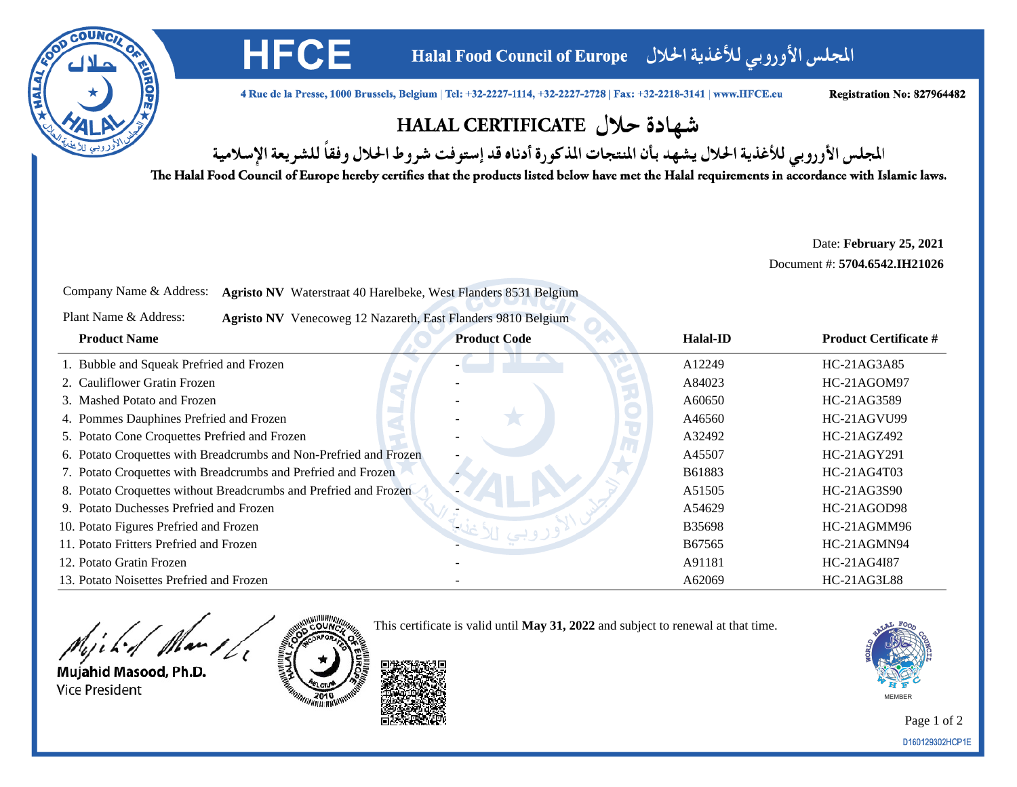

**HFCE** 

المجلس الأوروبي للأغذية الحلال Halal Food Council of Europe

4 Rue de la Presse, 1000 Brussels, Belgium | Tel: +32-2227-1114, +32-2227-2728 | Fax: +32-2218-3141 | www.HFCE.eu

Registration No: 827964482

## شهادة حلال HALAL CERTIFICATE

المجلس الأوروبي للأغذية الحلال يشهد بأن المنتجات المذكورة أدناه قد إستوفت شروط الحلال وفقاً للشريعة الإسلامية

The Halal Food Council of Europe hereby certifies that the products listed below have met the Halal requirements in accordance with Islamic laws.

Date: **February 25, 2021**Document #: **5704.6542.IH21026**

| Company Name & Address:<br><b>Agristo NV</b> Waterstraat 40 Harelbeke, West Flanders 8531 Belgium |                     |                 |                              |  |
|---------------------------------------------------------------------------------------------------|---------------------|-----------------|------------------------------|--|
| Plant Name & Address:<br>Agristo NV Venecoweg 12 Nazareth, East Flanders 9810 Belgium             |                     |                 |                              |  |
| <b>Product Name</b>                                                                               | <b>Product Code</b> | <b>Halal-ID</b> | <b>Product Certificate #</b> |  |
| 1. Bubble and Squeak Prefried and Frozen                                                          |                     | A12249          | HC-21AG3A85                  |  |
| 2. Cauliflower Gratin Frozen                                                                      |                     | A84023          | HC-21AGOM97                  |  |
| 3. Mashed Potato and Frozen                                                                       |                     | A60650          | HC-21AG3589                  |  |
| 4. Pommes Dauphines Prefried and Frozen                                                           |                     | A46560          | HC-21AGVU99                  |  |
| 5. Potato Cone Croquettes Prefried and Frozen                                                     |                     | A32492          | HC-21AGZ492                  |  |
| 6. Potato Croquettes with Breadcrumbs and Non-Prefried and Frozen                                 |                     | A45507          | HC-21AGY291                  |  |
| 7. Potato Croquettes with Breadcrumbs and Prefried and Frozen                                     |                     | B61883          | HC-21AG4T03                  |  |
| 8. Potato Croquettes without Breadcrumbs and Prefried and Frozen                                  |                     | A51505          | HC-21AG3S90                  |  |
| 9. Potato Duchesses Prefried and Frozen                                                           |                     | A54629          | HC-21AGOD98                  |  |
| 10. Potato Figures Prefried and Frozen                                                            |                     | <b>B35698</b>   | HC-21AGMM96                  |  |
| 11. Potato Fritters Prefried and Frozen                                                           |                     | B67565          | HC-21AGMN94                  |  |
| 12. Potato Gratin Frozen                                                                          |                     | A91181          | HC-21AG4I87                  |  |
| 13. Potato Noisettes Prefried and Frozen                                                          |                     | A62069          | HC-21AG3L88                  |  |



This certificate is valid until **May 31, 2022** and subject to renewal at that time.